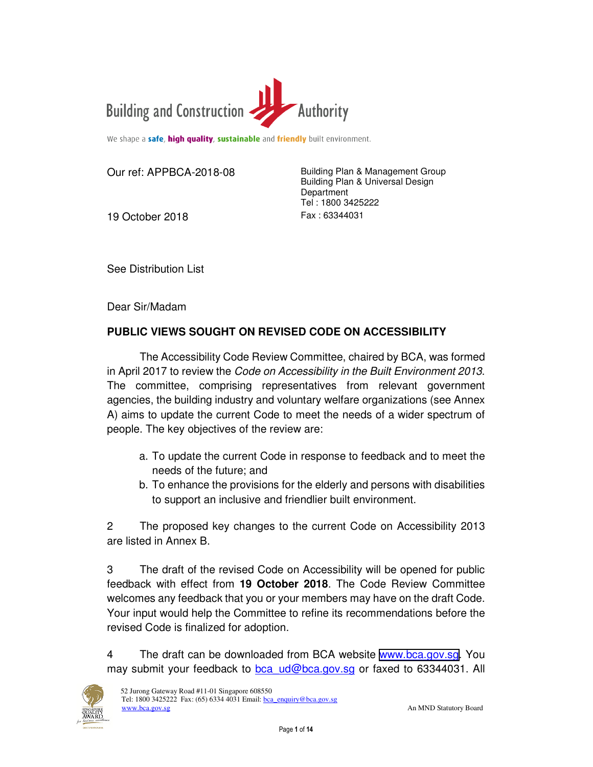

We shape a safe, high quality, sustainable and friendly built environment.

19 October 2018 Fax: 63344031

Our ref: APPBCA-2018-08 Building Plan & Management Group Building Plan & Universal Design **Department** Tel : 1800 3425222

See Distribution List

Dear Sir/Madam

### **PUBLIC VIEWS SOUGHT ON REVISED CODE ON ACCESSIBILITY**

The Accessibility Code Review Committee, chaired by BCA, was formed in April 2017 to review the *Code on Accessibility in the Built Environment 2013*. The committee, comprising representatives from relevant government agencies, the building industry and voluntary welfare organizations (see Annex A) aims to update the current Code to meet the needs of a wider spectrum of people. The key objectives of the review are:

- a. To update the current Code in response to feedback and to meet the needs of the future; and
- b. To enhance the provisions for the elderly and persons with disabilities to support an inclusive and friendlier built environment.

2 The proposed key changes to the current Code on Accessibility 2013 are listed in Annex B.

3 The draft of the revised Code on Accessibility will be opened for public feedback with effect from **19 October 2018**. The Code Review Committee welcomes any feedback that you or your members may have on the draft Code. Your input would help the Committee to refine its recommendations before the revised Code is finalized for adoption.

4 The draft can be downloaded from BCA website [www.bca.gov.sg.](https://www.corenet.gov.sg/media/2187040/draft-accessibility-code-2019.pdf) You may submit your feedback to bca\_ud@bca.gov.sg or faxed to 63344031. All

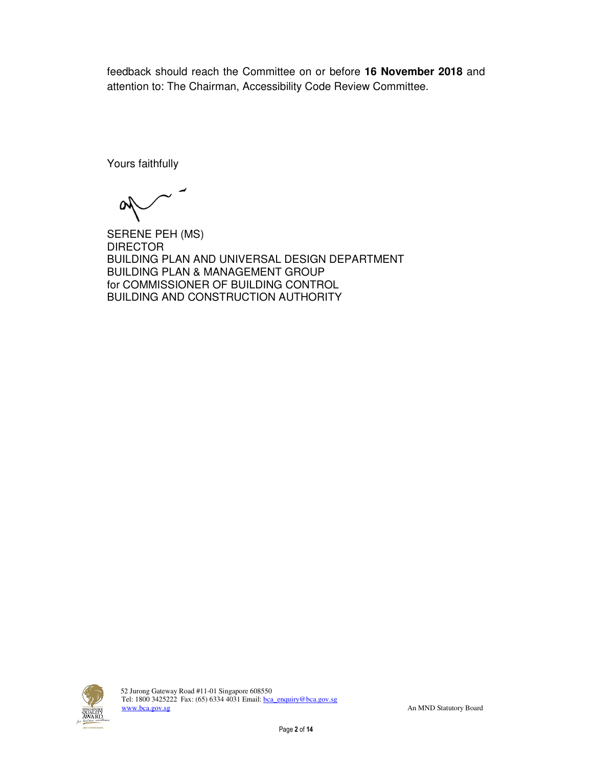feedback should reach the Committee on or before **16 November 2018** and attention to: The Chairman, Accessibility Code Review Committee.

Yours faithfully

W

SERENE PEH (MS) DIRECTOR BUILDING PLAN AND UNIVERSAL DESIGN DEPARTMENT BUILDING PLAN & MANAGEMENT GROUP for COMMISSIONER OF BUILDING CONTROL BUILDING AND CONSTRUCTION AUTHORITY

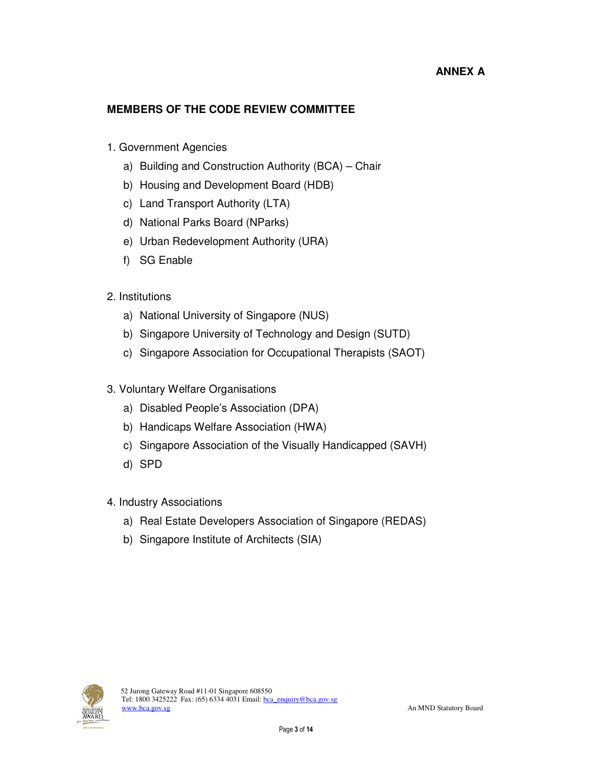# **ANNEX A**

## **MEMBERS OF THE CODE REVIEW COMMITTEE**

- 1. Government Agencies
	- a) Building and Construction Authority (BCA) Chair
	- b) Housing and Development Board (HDB)
	- c) Land Transport Authority (LTA)
	- d) National Parks Board (NParks)
	- e) Urban Redevelopment Authority (URA)
	- f) SG Enable
- 2. Institutions
	- a) National University of Singapore (NUS)
	- b) Singapore University of Technology and Design (SUTD)
	- c) Singapore Association for Occupational Therapists (SAOT)
- 3. Voluntary Welfare Organisations
	- a) Disabled People's Association (DPA)
	- b) Handicaps Welfare Association (HWA)
	- c) Singapore Association of the Visually Handicapped (SAVH)
	- d) SPD
- 4. Industry Associations
	- a) Real Estate Developers Association of Singapore (REDAS)
	- b) Singapore Institute of Architects (SIA)

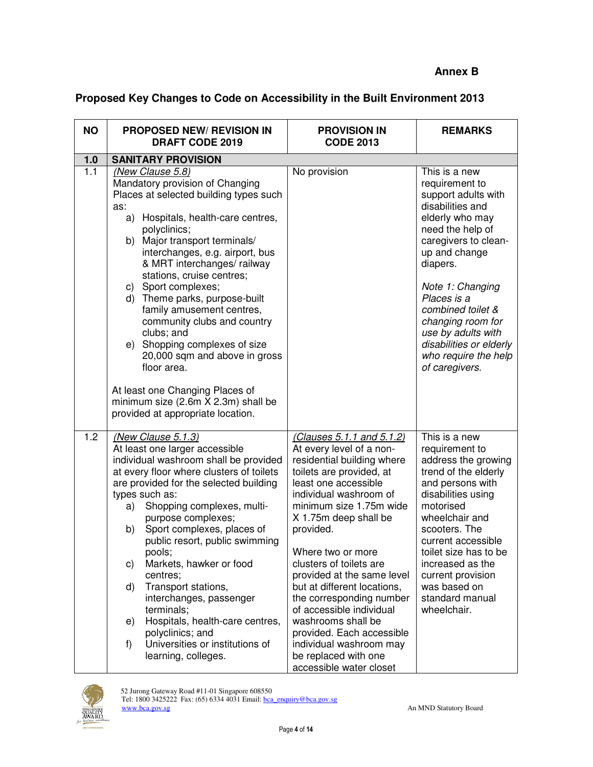# **Proposed Key Changes to Code on Accessibility in the Built Environment 2013**

| <b>NO</b>        | <b>PROPOSED NEW/ REVISION IN</b><br><b>DRAFT CODE 2019</b>                                                                                                                                                                                                                                                                                                                                                                                                                                                                                                                                      | <b>PROVISION IN</b><br><b>CODE 2013</b>                                                                                                                                                                                                                                                                                                                                                                                                                                                                                                  | <b>REMARKS</b>                                                                                                                                                                                                                                                                                                                                 |
|------------------|-------------------------------------------------------------------------------------------------------------------------------------------------------------------------------------------------------------------------------------------------------------------------------------------------------------------------------------------------------------------------------------------------------------------------------------------------------------------------------------------------------------------------------------------------------------------------------------------------|------------------------------------------------------------------------------------------------------------------------------------------------------------------------------------------------------------------------------------------------------------------------------------------------------------------------------------------------------------------------------------------------------------------------------------------------------------------------------------------------------------------------------------------|------------------------------------------------------------------------------------------------------------------------------------------------------------------------------------------------------------------------------------------------------------------------------------------------------------------------------------------------|
| 1.0              | <b>SANITARY PROVISION</b>                                                                                                                                                                                                                                                                                                                                                                                                                                                                                                                                                                       |                                                                                                                                                                                                                                                                                                                                                                                                                                                                                                                                          |                                                                                                                                                                                                                                                                                                                                                |
| $\overline{1.1}$ | (New Clause 5.8)<br>Mandatory provision of Changing<br>Places at selected building types such<br>as:<br>a) Hospitals, health-care centres,<br>polyclinics;<br>b) Major transport terminals/<br>interchanges, e.g. airport, bus<br>& MRT interchanges/ railway<br>stations, cruise centres;<br>c) Sport complexes;<br>d) Theme parks, purpose-built<br>family amusement centres,<br>community clubs and country<br>clubs; and<br>e) Shopping complexes of size<br>20,000 sqm and above in gross<br>floor area.                                                                                   | No provision                                                                                                                                                                                                                                                                                                                                                                                                                                                                                                                             | This is a new<br>requirement to<br>support adults with<br>disabilities and<br>elderly who may<br>need the help of<br>caregivers to clean-<br>up and change<br>diapers.<br>Note 1: Changing<br>Places is a<br>combined toilet &<br>changing room for<br>use by adults with<br>disabilities or elderly<br>who require the help<br>of caregivers. |
|                  | At least one Changing Places of<br>minimum size (2.6m X 2.3m) shall be<br>provided at appropriate location.                                                                                                                                                                                                                                                                                                                                                                                                                                                                                     |                                                                                                                                                                                                                                                                                                                                                                                                                                                                                                                                          |                                                                                                                                                                                                                                                                                                                                                |
| 1.2              | (New Clause 5.1.3)<br>At least one larger accessible<br>individual washroom shall be provided<br>at every floor where clusters of toilets<br>are provided for the selected building<br>types such as:<br>Shopping complexes, multi-<br>a)<br>purpose complexes;<br>Sport complexes, places of<br>b)<br>public resort, public swimming<br>pools;<br>Markets, hawker or food<br>C)<br>centres;<br>Transport stations,<br>d)<br>interchanges, passenger<br>terminals;<br>Hospitals, health-care centres,<br>e)<br>polyclinics; and<br>Universities or institutions of<br>f)<br>learning, colleges. | (Clauses 5.1.1 and 5.1.2)<br>At every level of a non-<br>residential building where<br>toilets are provided, at<br>least one accessible<br>individual washroom of<br>minimum size 1.75m wide<br>X 1.75m deep shall be<br>provided.<br>Where two or more<br>clusters of toilets are<br>provided at the same level<br>but at different locations,<br>the corresponding number<br>of accessible individual<br>washrooms shall be<br>provided. Each accessible<br>individual washroom may<br>be replaced with one<br>accessible water closet | This is a new<br>requirement to<br>address the growing<br>trend of the elderly<br>and persons with<br>disabilities using<br>motorised<br>wheelchair and<br>scooters. The<br>current accessible<br>toilet size has to be<br>increased as the<br>current provision<br>was based on<br>standard manual<br>wheelchair.                             |

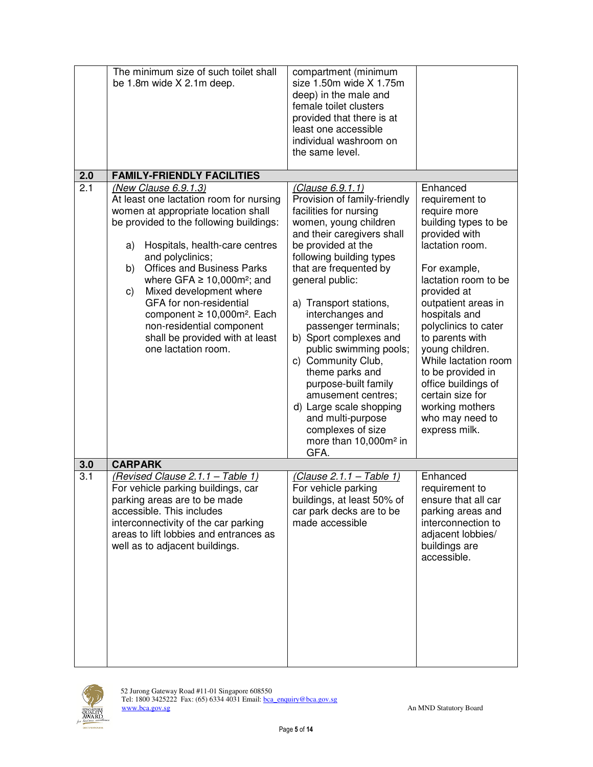|     | The minimum size of such toilet shall<br>be 1.8m wide X 2.1m deep.                                                                                                                                                                                                                                                                                                                                                                                                                                    | compartment (minimum<br>size 1.50m wide X 1.75m<br>deep) in the male and<br>female toilet clusters<br>provided that there is at<br>least one accessible<br>individual washroom on<br>the same level.                                                                                                                                                                                                                                                                                                                                                                |                                                                                                                                                                                                                                                                                                                                                                                                                    |
|-----|-------------------------------------------------------------------------------------------------------------------------------------------------------------------------------------------------------------------------------------------------------------------------------------------------------------------------------------------------------------------------------------------------------------------------------------------------------------------------------------------------------|---------------------------------------------------------------------------------------------------------------------------------------------------------------------------------------------------------------------------------------------------------------------------------------------------------------------------------------------------------------------------------------------------------------------------------------------------------------------------------------------------------------------------------------------------------------------|--------------------------------------------------------------------------------------------------------------------------------------------------------------------------------------------------------------------------------------------------------------------------------------------------------------------------------------------------------------------------------------------------------------------|
| 2.0 | <b>FAMILY-FRIENDLY FACILITIES</b>                                                                                                                                                                                                                                                                                                                                                                                                                                                                     |                                                                                                                                                                                                                                                                                                                                                                                                                                                                                                                                                                     |                                                                                                                                                                                                                                                                                                                                                                                                                    |
| 2.1 | (New Clause 6.9.1.3)<br>At least one lactation room for nursing<br>women at appropriate location shall<br>be provided to the following buildings:<br>Hospitals, health-care centres<br>a)<br>and polyclinics;<br><b>Offices and Business Parks</b><br>b)<br>where GFA $\geq$ 10,000m <sup>2</sup> ; and<br>Mixed development where<br>C)<br>GFA for non-residential<br>component ≥ 10,000m <sup>2</sup> . Each<br>non-residential component<br>shall be provided with at least<br>one lactation room. | (Clause 6.9.1.1)<br>Provision of family-friendly<br>facilities for nursing<br>women, young children<br>and their caregivers shall<br>be provided at the<br>following building types<br>that are frequented by<br>general public:<br>a) Transport stations,<br>interchanges and<br>passenger terminals;<br>b) Sport complexes and<br>public swimming pools;<br>c) Community Club,<br>theme parks and<br>purpose-built family<br>amusement centres;<br>d) Large scale shopping<br>and multi-purpose<br>complexes of size<br>more than 10,000m <sup>2</sup> in<br>GFA. | Enhanced<br>requirement to<br>require more<br>building types to be<br>provided with<br>lactation room.<br>For example,<br>lactation room to be<br>provided at<br>outpatient areas in<br>hospitals and<br>polyclinics to cater<br>to parents with<br>young children.<br>While lactation room<br>to be provided in<br>office buildings of<br>certain size for<br>working mothers<br>who may need to<br>express milk. |
| 3.0 | <b>CARPARK</b>                                                                                                                                                                                                                                                                                                                                                                                                                                                                                        |                                                                                                                                                                                                                                                                                                                                                                                                                                                                                                                                                                     |                                                                                                                                                                                                                                                                                                                                                                                                                    |
| 3.1 | (Revised Clause 2.1.1 - Table 1)<br>For vehicle parking buildings, car<br>parking areas are to be made<br>accessible. This includes<br>interconnectivity of the car parking<br>areas to lift lobbies and entrances as<br>well as to adjacent buildings.                                                                                                                                                                                                                                               | <u>(Clause 2.1.1 – Table 1)</u><br>For vehicle parking<br>buildings, at least 50% of<br>car park decks are to be<br>made accessible                                                                                                                                                                                                                                                                                                                                                                                                                                 | Enhanced<br>requirement to<br>ensure that all car<br>parking areas and<br>interconnection to<br>adjacent lobbies/<br>buildings are<br>accessible.                                                                                                                                                                                                                                                                  |

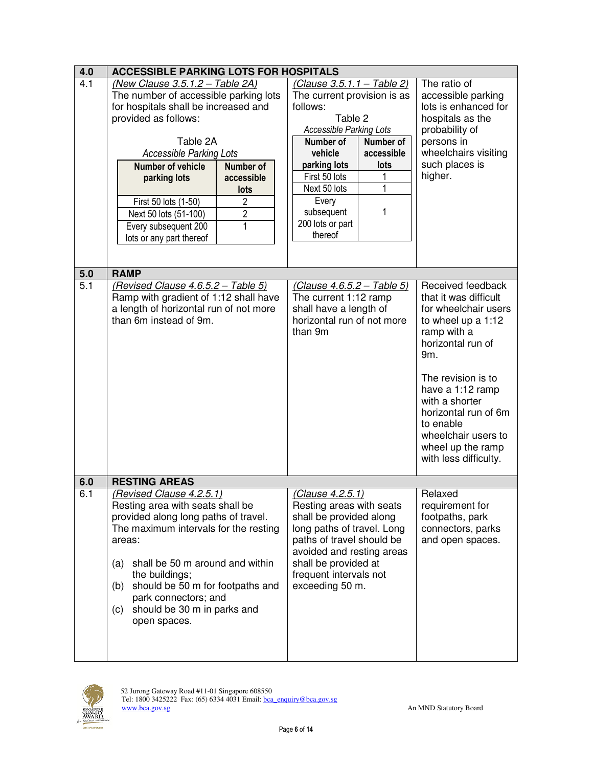| 4.0                     | <b>ACCESSIBLE PARKING LOTS FOR HOSPITALS</b>      |                                                     |                                  |
|-------------------------|---------------------------------------------------|-----------------------------------------------------|----------------------------------|
| 4.1                     | (New Clause 3.5.1.2 - Table 2A)                   | <u>(Clause 3.5.1.1 – Table 2)</u>                   | The ratio of                     |
|                         | The number of accessible parking lots             | The current provision is as                         | accessible parking               |
|                         | for hospitals shall be increased and              | follows:                                            | lots is enhanced for             |
|                         | provided as follows:                              | Table 2                                             | hospitals as the                 |
|                         |                                                   | <b>Accessible Parking Lots</b>                      | probability of                   |
|                         | Table 2A                                          | Number of<br>Number of                              | persons in                       |
|                         | <b>Accessible Parking Lots</b>                    | vehicle<br>accessible                               | wheelchairs visiting             |
|                         | Number of<br><b>Number of vehicle</b>             | parking lots<br>lots                                | such places is                   |
|                         | parking lots<br>accessible                        | First 50 lots<br>1                                  | higher.                          |
|                         | lots                                              | Next 50 lots<br>1                                   |                                  |
|                         | $\overline{2}$<br>First 50 lots (1-50)            | Every                                               |                                  |
|                         | $\overline{2}$<br>Next 50 lots (51-100)           | subsequent<br>1                                     |                                  |
|                         | 1                                                 | 200 lots or part                                    |                                  |
|                         | Every subsequent 200                              | thereof                                             |                                  |
|                         | lots or any part thereof                          |                                                     |                                  |
|                         |                                                   |                                                     |                                  |
|                         |                                                   |                                                     |                                  |
| 5.0<br>$\overline{5.1}$ | <b>RAMP</b><br>(Revised Clause 4.6.5.2 - Table 5) |                                                     | Received feedback                |
|                         | Ramp with gradient of 1:12 shall have             | (Clause 4.6.5.2 – Table 5)<br>The current 1:12 ramp | that it was difficult            |
|                         | a length of horizontal run of not more            | shall have a length of                              | for wheelchair users             |
|                         | than 6m instead of 9m.                            | horizontal run of not more                          |                                  |
|                         |                                                   |                                                     | to wheel up a 1:12               |
|                         |                                                   | than 9m                                             | ramp with a<br>horizontal run of |
|                         |                                                   |                                                     |                                  |
|                         |                                                   |                                                     | 9m.                              |
|                         |                                                   |                                                     |                                  |
|                         |                                                   |                                                     | The revision is to               |
|                         |                                                   |                                                     | have a 1:12 ramp                 |
|                         |                                                   |                                                     | with a shorter                   |
|                         |                                                   |                                                     | horizontal run of 6m             |
|                         |                                                   |                                                     | to enable                        |
|                         |                                                   |                                                     | wheelchair users to              |
|                         |                                                   |                                                     | wheel up the ramp                |
|                         |                                                   |                                                     | with less difficulty.            |
|                         |                                                   |                                                     |                                  |
| 6.0                     | <b>RESTING AREAS</b>                              |                                                     |                                  |
| 6.1                     | (Revised Clause 4.2.5.1)                          | (Clause 4.2.5.1)                                    | Relaxed                          |
|                         | Resting area with seats shall be                  | Resting areas with seats                            | requirement for                  |
|                         | provided along long paths of travel.              | shall be provided along                             | footpaths, park                  |
|                         | The maximum intervals for the resting             | long paths of travel. Long                          | connectors, parks                |
|                         | areas:                                            | paths of travel should be                           | and open spaces.                 |
|                         |                                                   | avoided and resting areas                           |                                  |
|                         | shall be 50 m around and within<br>(a)            | shall be provided at                                |                                  |
|                         | the buildings;                                    | frequent intervals not                              |                                  |
|                         | should be 50 m for footpaths and<br>(b)           | exceeding 50 m.                                     |                                  |
|                         | park connectors; and                              |                                                     |                                  |
|                         | should be 30 m in parks and<br>(c)                |                                                     |                                  |
|                         | open spaces.                                      |                                                     |                                  |
|                         |                                                   |                                                     |                                  |
|                         |                                                   |                                                     |                                  |
|                         |                                                   |                                                     |                                  |

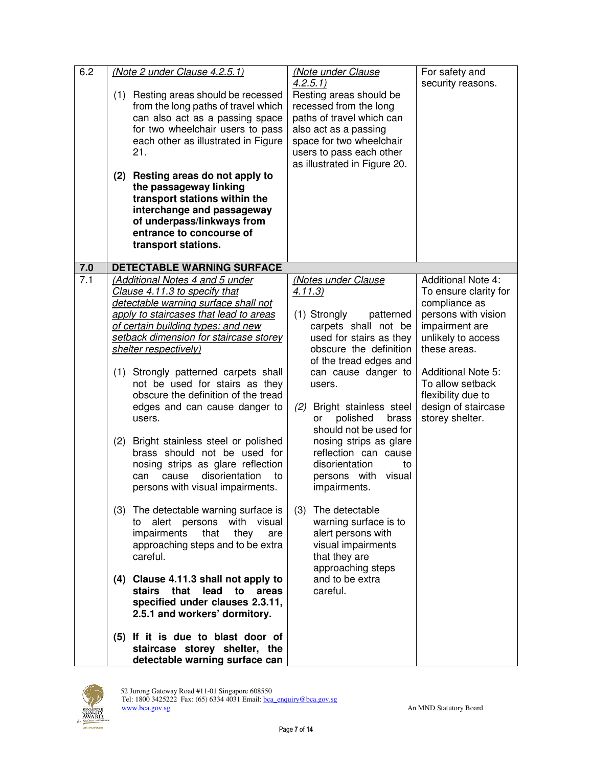| 6.2 | (Note 2 under Clause 4.2.5.1)<br>(1) Resting areas should be recessed<br>from the long paths of travel which<br>can also act as a passing space<br>for two wheelchair users to pass<br>each other as illustrated in Figure<br>21.<br>(2) Resting areas do not apply to<br>the passageway linking<br>transport stations within the<br>interchange and passageway<br>of underpass/linkways from<br>entrance to concourse of<br>transport stations.                                                                                                                                                                   | (Note under Clause<br>4.2.5.1<br>Resting areas should be<br>recessed from the long<br>paths of travel which can<br>also act as a passing<br>space for two wheelchair<br>users to pass each other<br>as illustrated in Figure 20.                                                                                                                                                                                    | For safety and<br>security reasons.                                                                                                                                                                                                                                 |
|-----|--------------------------------------------------------------------------------------------------------------------------------------------------------------------------------------------------------------------------------------------------------------------------------------------------------------------------------------------------------------------------------------------------------------------------------------------------------------------------------------------------------------------------------------------------------------------------------------------------------------------|---------------------------------------------------------------------------------------------------------------------------------------------------------------------------------------------------------------------------------------------------------------------------------------------------------------------------------------------------------------------------------------------------------------------|---------------------------------------------------------------------------------------------------------------------------------------------------------------------------------------------------------------------------------------------------------------------|
| 7.0 | DETECTABLE WARNING SURFACE                                                                                                                                                                                                                                                                                                                                                                                                                                                                                                                                                                                         |                                                                                                                                                                                                                                                                                                                                                                                                                     |                                                                                                                                                                                                                                                                     |
| 7.1 | (Additional Notes 4 and 5 under<br>Clause 4.11.3 to specify that<br>detectable warning surface shall not<br>apply to staircases that lead to areas<br>of certain building types; and new<br>setback dimension for staircase storey<br>shelter respectively)<br>Strongly patterned carpets shall<br>(1)<br>not be used for stairs as they<br>obscure the definition of the tread<br>edges and can cause danger to<br>users.<br>Bright stainless steel or polished<br>(2)<br>brass should not be used for<br>nosing strips as glare reflection<br>disorientation<br>cause<br>can<br>persons with visual impairments. | (Notes under Clause<br>4.11.3)<br>(1) Strongly<br>patterned<br>carpets shall not be<br>used for stairs as they<br>obscure the definition<br>of the tread edges and<br>can cause danger to<br>users.<br>Bright stainless steel<br>(2)<br>polished<br>brass<br>or<br>should not be used for<br>nosing strips as glare<br>reflection can cause<br>disorientation<br>to<br>persons with<br>visual<br>to<br>impairments. | <b>Additional Note 4:</b><br>To ensure clarity for<br>compliance as<br>persons with vision<br>impairment are<br>unlikely to access<br>these areas.<br><b>Additional Note 5:</b><br>To allow setback<br>flexibility due to<br>design of staircase<br>storey shelter. |
|     | (3) The detectable warning surface is<br>alert persons<br>with visual<br>to<br>impairments<br>that<br>they<br>approaching steps and to be extra<br>careful.<br>(4) Clause 4.11.3 shall not apply to<br>stairs that<br>lead to areas<br>specified under clauses 2.3.11,<br>2.5.1 and workers' dormitory.                                                                                                                                                                                                                                                                                                            | (3)<br>The detectable<br>warning surface is to<br>alert persons with<br>are<br>visual impairments<br>that they are<br>approaching steps<br>and to be extra<br>careful.                                                                                                                                                                                                                                              |                                                                                                                                                                                                                                                                     |
|     | (5) If it is due to blast door of<br>staircase storey shelter, the<br>detectable warning surface can                                                                                                                                                                                                                                                                                                                                                                                                                                                                                                               |                                                                                                                                                                                                                                                                                                                                                                                                                     |                                                                                                                                                                                                                                                                     |

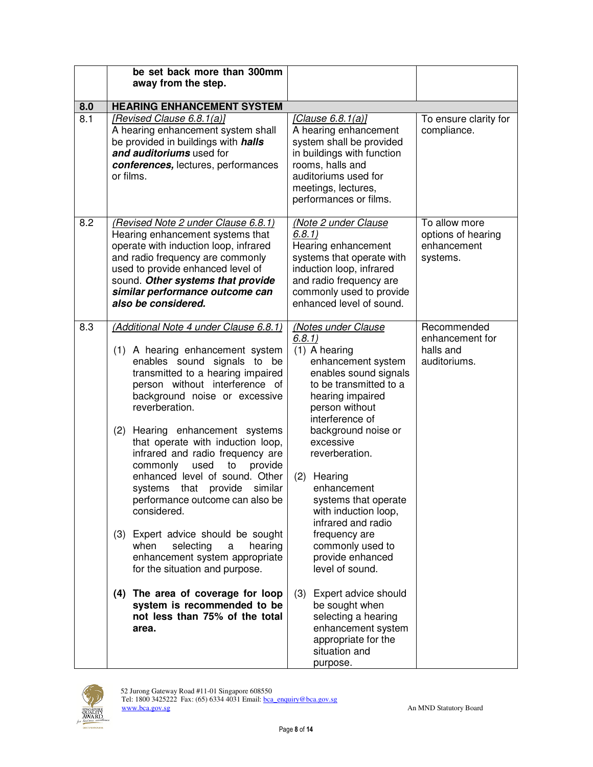|     | be set back more than 300mm<br>away from the step.                                                                                                                                                                                                                                                                                                                                                                                                                                                                                                                                                                                                                                                                                                                        |                                                                                                                                                                                                                                                                                                                                                                                                                                                                                                                                                |                                                                |  |
|-----|---------------------------------------------------------------------------------------------------------------------------------------------------------------------------------------------------------------------------------------------------------------------------------------------------------------------------------------------------------------------------------------------------------------------------------------------------------------------------------------------------------------------------------------------------------------------------------------------------------------------------------------------------------------------------------------------------------------------------------------------------------------------------|------------------------------------------------------------------------------------------------------------------------------------------------------------------------------------------------------------------------------------------------------------------------------------------------------------------------------------------------------------------------------------------------------------------------------------------------------------------------------------------------------------------------------------------------|----------------------------------------------------------------|--|
| 8.0 | <b>HEARING ENHANCEMENT SYSTEM</b>                                                                                                                                                                                                                                                                                                                                                                                                                                                                                                                                                                                                                                                                                                                                         |                                                                                                                                                                                                                                                                                                                                                                                                                                                                                                                                                |                                                                |  |
| 8.1 | [Revised Clause 6.8.1(a)]<br>A hearing enhancement system shall<br>be provided in buildings with halls<br>and auditoriums used for<br>conferences, lectures, performances<br>or films.                                                                                                                                                                                                                                                                                                                                                                                                                                                                                                                                                                                    | [Clause 6.8.1(a)]<br>A hearing enhancement<br>system shall be provided<br>in buildings with function<br>rooms, halls and<br>auditoriums used for<br>meetings, lectures,<br>performances or films.                                                                                                                                                                                                                                                                                                                                              | To ensure clarity for<br>compliance.                           |  |
| 8.2 | (Revised Note 2 under Clause 6.8.1)<br>Hearing enhancement systems that<br>operate with induction loop, infrared<br>and radio frequency are commonly<br>used to provide enhanced level of<br>sound. Other systems that provide<br>similar performance outcome can<br>also be considered.                                                                                                                                                                                                                                                                                                                                                                                                                                                                                  | (Note 2 under Clause<br>6.8.1)<br>Hearing enhancement<br>systems that operate with<br>induction loop, infrared<br>and radio frequency are<br>commonly used to provide<br>enhanced level of sound.                                                                                                                                                                                                                                                                                                                                              | To allow more<br>options of hearing<br>enhancement<br>systems. |  |
| 8.3 | (Additional Note 4 under Clause 6.8.1)<br>(1) A hearing enhancement system<br>enables sound signals to be<br>transmitted to a hearing impaired<br>person without interference of<br>background noise or excessive<br>reverberation.<br>(2)<br>Hearing enhancement systems<br>that operate with induction loop,<br>infrared and radio frequency are<br>commonly<br>used<br>to<br>provide<br>enhanced level of sound. Other<br>systems that provide similar<br>performance outcome can also be<br>considered.<br>(3) Expert advice should be sought<br>when<br>selecting<br>a<br>hearing<br>enhancement system appropriate<br>for the situation and purpose.<br>(4) The area of coverage for loop<br>system is recommended to be<br>not less than 75% of the total<br>area. | (Notes under Clause<br>6.8.1)<br>(1) A hearing<br>enhancement system<br>enables sound signals<br>to be transmitted to a<br>hearing impaired<br>person without<br>interference of<br>background noise or<br>excessive<br>reverberation.<br>(2)<br>Hearing<br>enhancement<br>systems that operate<br>with induction loop,<br>infrared and radio<br>frequency are<br>commonly used to<br>provide enhanced<br>level of sound.<br>(3)<br>Expert advice should<br>be sought when<br>selecting a hearing<br>enhancement system<br>appropriate for the | Recommended<br>enhancement for<br>halls and<br>auditoriums.    |  |

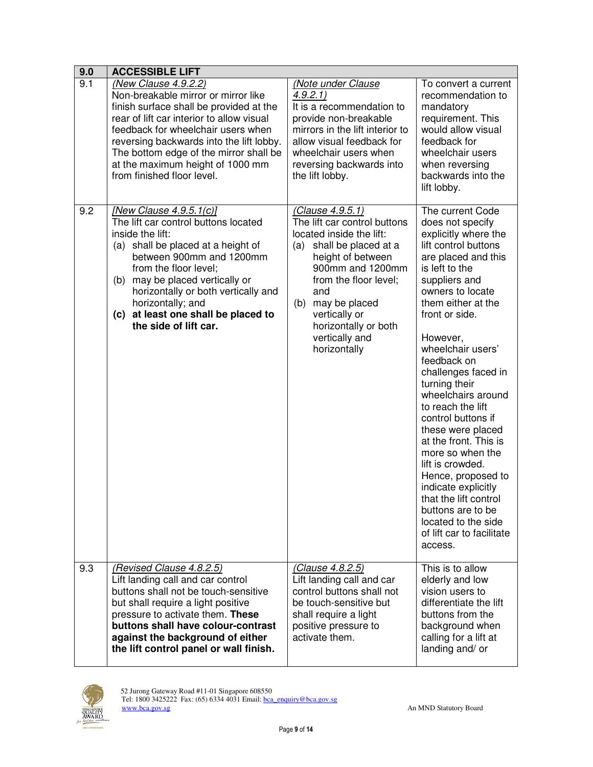| 9.0 | <b>ACCESSIBLE LIFT</b>                                                                                                                                                                                                                                                                                                                            |                                                                                                                                                                                                                                                                                         |                                                                                                                                                                                                                                                                                                                                                                                                                                                                                                                                                                                                                     |  |
|-----|---------------------------------------------------------------------------------------------------------------------------------------------------------------------------------------------------------------------------------------------------------------------------------------------------------------------------------------------------|-----------------------------------------------------------------------------------------------------------------------------------------------------------------------------------------------------------------------------------------------------------------------------------------|---------------------------------------------------------------------------------------------------------------------------------------------------------------------------------------------------------------------------------------------------------------------------------------------------------------------------------------------------------------------------------------------------------------------------------------------------------------------------------------------------------------------------------------------------------------------------------------------------------------------|--|
| 9.1 | (New Clause 4.9.2.2)<br>Non-breakable mirror or mirror like<br>finish surface shall be provided at the<br>rear of lift car interior to allow visual<br>feedback for wheelchair users when<br>reversing backwards into the lift lobby.<br>The bottom edge of the mirror shall be<br>at the maximum height of 1000 mm<br>from finished floor level. | (Note under Clause<br>4.9.2.1)<br>It is a recommendation to<br>provide non-breakable<br>mirrors in the lift interior to<br>allow visual feedback for<br>wheelchair users when<br>reversing backwards into<br>the lift lobby.                                                            | To convert a current<br>recommendation to<br>mandatory<br>requirement. This<br>would allow visual<br>feedback for<br>wheelchair users<br>when reversing<br>backwards into the<br>lift lobby.                                                                                                                                                                                                                                                                                                                                                                                                                        |  |
| 9.2 | [New Clause 4.9.5.1(c)]<br>The lift car control buttons located<br>inside the lift:<br>(a) shall be placed at a height of<br>between 900mm and 1200mm<br>from the floor level:<br>may be placed vertically or<br>(b)<br>horizontally or both vertically and<br>horizontally; and<br>(c) at least one shall be placed to<br>the side of lift car.  | (Clause 4.9.5.1)<br>The lift car control buttons<br>located inside the lift:<br>(a)<br>shall be placed at a<br>height of between<br>900mm and 1200mm<br>from the floor level;<br>and<br>may be placed<br>(b)<br>vertically or<br>horizontally or both<br>vertically and<br>horizontally | The current Code<br>does not specify<br>explicitly where the<br>lift control buttons<br>are placed and this<br>is left to the<br>suppliers and<br>owners to locate<br>them either at the<br>front or side.<br>However,<br>wheelchair users'<br>feedback on<br>challenges faced in<br>turning their<br>wheelchairs around<br>to reach the lift<br>control buttons if<br>these were placed<br>at the front. This is<br>more so when the<br>lift is crowded.<br>Hence, proposed to<br>indicate explicitly<br>that the lift control<br>buttons are to be<br>located to the side<br>of lift car to facilitate<br>access. |  |
| 9.3 | (Revised Clause 4.8.2.5)<br>Lift landing call and car control<br>buttons shall not be touch-sensitive<br>but shall require a light positive<br>pressure to activate them. These<br>buttons shall have colour-contrast<br>against the background of either<br>the lift control panel or wall finish.                                               | (Clause 4.8.2.5)<br>Lift landing call and car<br>control buttons shall not<br>be touch-sensitive but<br>shall require a light<br>positive pressure to<br>activate them.                                                                                                                 | This is to allow<br>elderly and low<br>vision users to<br>differentiate the lift<br>buttons from the<br>background when<br>calling for a lift at<br>landing and/ or                                                                                                                                                                                                                                                                                                                                                                                                                                                 |  |

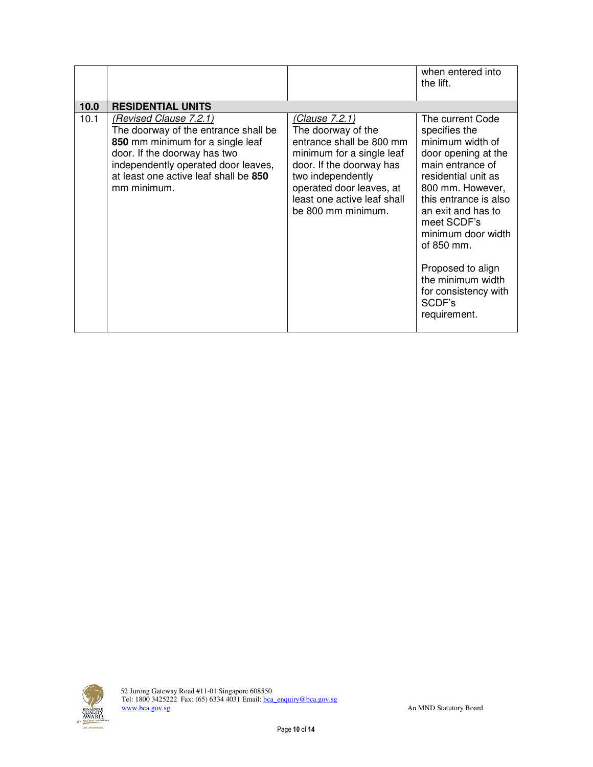|      |                                                                                                                                                                                                                                   |                                                                                                                                                                                                                                 | when entered into<br>the lift.                                                                                                                                                                                                                                                                                                            |
|------|-----------------------------------------------------------------------------------------------------------------------------------------------------------------------------------------------------------------------------------|---------------------------------------------------------------------------------------------------------------------------------------------------------------------------------------------------------------------------------|-------------------------------------------------------------------------------------------------------------------------------------------------------------------------------------------------------------------------------------------------------------------------------------------------------------------------------------------|
| 10.0 | <b>RESIDENTIAL UNITS</b>                                                                                                                                                                                                          |                                                                                                                                                                                                                                 |                                                                                                                                                                                                                                                                                                                                           |
| 10.1 | (Revised Clause 7.2.1)<br>The doorway of the entrance shall be<br>850 mm minimum for a single leaf<br>door. If the doorway has two<br>independently operated door leaves,<br>at least one active leaf shall be 850<br>mm minimum. | (Clause 7.2.1)<br>The doorway of the<br>entrance shall be 800 mm<br>minimum for a single leaf<br>door. If the doorway has<br>two independently<br>operated door leaves, at<br>least one active leaf shall<br>be 800 mm minimum. | The current Code<br>specifies the<br>minimum width of<br>door opening at the<br>main entrance of<br>residential unit as<br>800 mm. However,<br>this entrance is also<br>an exit and has to<br>meet SCDF's<br>minimum door width<br>of 850 mm.<br>Proposed to align<br>the minimum width<br>for consistency with<br>SCDF's<br>requirement. |

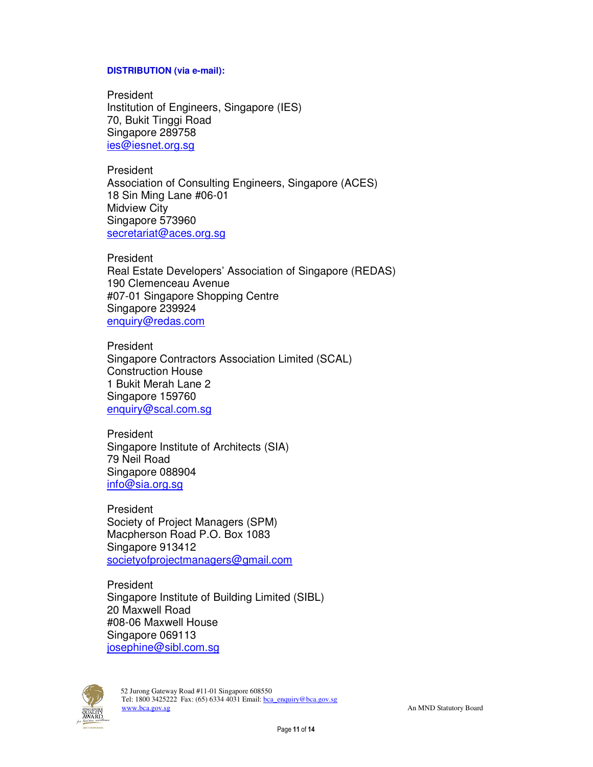#### **DISTRIBUTION (via e-mail):**

President Institution of Engineers, Singapore (IES) 70, Bukit Tinggi Road Singapore 289758 ies@iesnet.org.sg

President Association of Consulting Engineers, Singapore (ACES) 18 Sin Ming Lane #06-01 Midview City Singapore 573960 secretariat@aces.org.sg

President Real Estate Developers' Association of Singapore (REDAS) 190 Clemenceau Avenue #07-01 Singapore Shopping Centre Singapore 239924 enquiry@redas.com

President Singapore Contractors Association Limited (SCAL) Construction House 1 Bukit Merah Lane 2 Singapore 159760 enquiry@scal.com.sg

President Singapore Institute of Architects (SIA) 79 Neil Road Singapore 088904 info@sia.org.sg

President Society of Project Managers (SPM) Macpherson Road P.O. Box 1083 Singapore 913412 societyofprojectmanagers@gmail.com

President Singapore Institute of Building Limited (SIBL) 20 Maxwell Road #08-06 Maxwell House Singapore 069113 josephine@sibl.com.sg

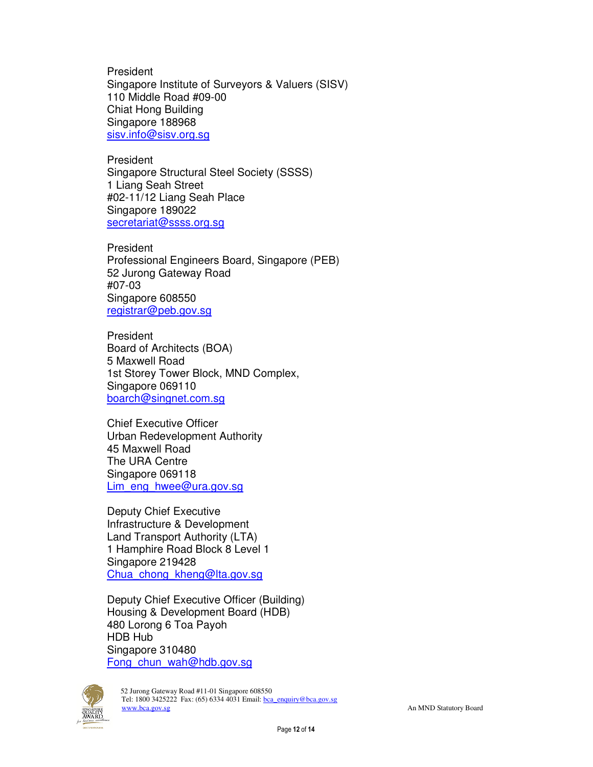President Singapore Institute of Surveyors & Valuers (SISV) 110 Middle Road #09-00 Chiat Hong Building Singapore 188968 sisv.info@sisv.org.sg

President Singapore Structural Steel Society (SSSS) 1 Liang Seah Street #02-11/12 Liang Seah Place Singapore 189022 secretariat@ssss.org.sq

President Professional Engineers Board, Singapore (PEB) 52 Jurong Gateway Road #07-03 Singapore 608550 registrar@peb.gov.sg

President Board of Architects (BOA) 5 Maxwell Road 1st Storey Tower Block, MND Complex, Singapore 069110 boarch@singnet.com.sg

Chief Executive Officer Urban Redevelopment Authority 45 Maxwell Road The URA Centre Singapore 069118 Lim\_eng\_hwee@ura.gov.sg

Deputy Chief Executive Infrastructure & Development Land Transport Authority (LTA) 1 Hamphire Road Block 8 Level 1 Singapore 219428 Chua\_chong\_kheng@lta.gov.sg

Deputy Chief Executive Officer (Building) Housing & Development Board (HDB) 480 Lorong 6 Toa Payoh HDB Hub Singapore 310480 Fong chun wah@hdb.gov.sg

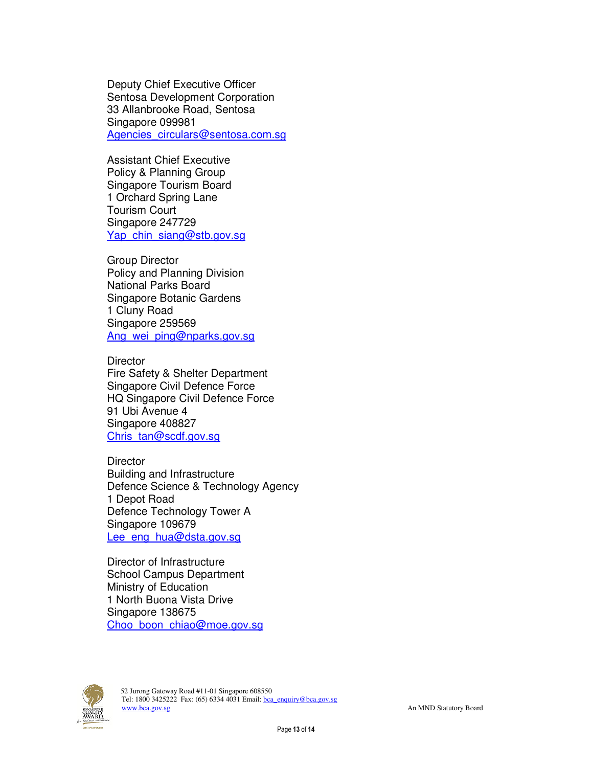Deputy Chief Executive Officer Sentosa Development Corporation 33 Allanbrooke Road, Sentosa Singapore 099981 Agencies circulars@sentosa.com.sg

Assistant Chief Executive Policy & Planning Group Singapore Tourism Board 1 Orchard Spring Lane Tourism Court Singapore 247729 Yap chin siang@stb.gov.sg

Group Director Policy and Planning Division National Parks Board Singapore Botanic Gardens 1 Cluny Road Singapore 259569 Ang\_wei\_ping@nparks.gov.sg

**Director** Fire Safety & Shelter Department Singapore Civil Defence Force HQ Singapore Civil Defence Force 91 Ubi Avenue 4 Singapore 408827 Chris\_tan@scdf.gov.sg

**Director** Building and Infrastructure Defence Science & Technology Agency 1 Depot Road Defence Technology Tower A Singapore 109679 Lee\_eng\_hua@dsta.gov.sg

Director of Infrastructure School Campus Department Ministry of Education 1 North Buona Vista Drive Singapore 138675 Choo\_boon\_chiao@moe.gov.sg